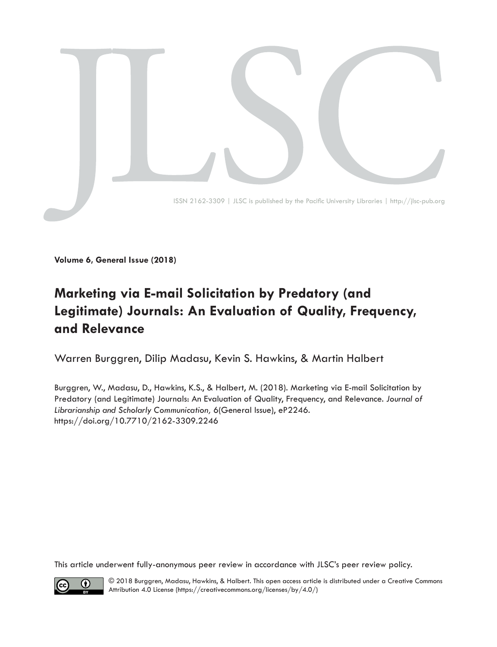

**Volume 6, General Issue (2018)**

# **Marketing via E-mail Solicitation by Predatory (and Legitimate) Journals: An Evaluation of Quality, Frequency, and Relevance**

Warren Burggren, Dilip Madasu, Kevin S. Hawkins, & Martin Halbert

Burggren, W., Madasu, D., Hawkins, K.S., & Halbert, M. (2018). Marketing via E-mail Solicitation by Predatory (and Legitimate) Journals: An Evaluation of Quality, Frequency, and Relevance. *Journal of Librarianship and Scholarly Communication,* 6(General Issue), eP2246. [https://doi.org/10.7710/2162-3309.](https://doi.org/10.7710/2162-3309.2246)2246

This article underwent fully-anonymous peer review in accordance with JLSC's [peer review policy.](https://jlsc-pub.org/about/editorialpolicies/)



© 2018 Burggren, Madasu, Hawkins, & Halbert. This open access article is distributed under a Creative Commons Attribution 4.0 License [\(https://creativecommons.org/licenses/by/4.0/](https://creativecommons.org/licenses/by/4.0/))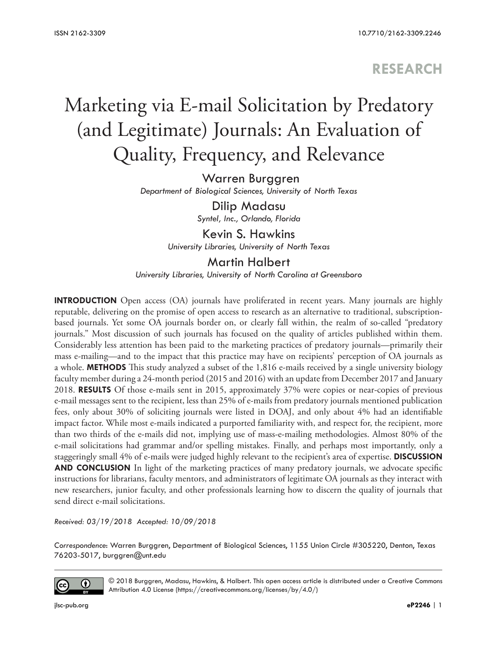## **RESEARCH**

# Marketing via E-mail Solicitation by Predatory (and Legitimate) Journals: An Evaluation of Quality, Frequency, and Relevance

Warren Burggren *Department of Biological Sciences, University of North Texas*

> Dilip Madasu *Syntel, Inc., Orlando, Florida*

Kevin S. Hawkins *University Libraries, University of North Texas*

Martin Halbert *University Libraries, University of North Carolina at Greensboro*

**INTRODUCTION** Open access (OA) journals have proliferated in recent years. Many journals are highly reputable, delivering on the promise of open access to research as an alternative to traditional, subscriptionbased journals. Yet some OA journals border on, or clearly fall within, the realm of so-called "predatory journals." Most discussion of such journals has focused on the quality of articles published within them. Considerably less attention has been paid to the marketing practices of predatory journals—primarily their mass e-mailing—and to the impact that this practice may have on recipients' perception of OA journals as a whole. **METHODS** This study analyzed a subset of the 1,816 e-mails received by a single university biology faculty member during a 24-month period (2015 and 2016) with an update from December 2017 and January 2018. **RESULTS** Of those e-mails sent in 2015, approximately 37% were copies or near-copies of previous e-mail messages sent to the recipient, less than 25% of e-mails from predatory journals mentioned publication fees, only about 30% of soliciting journals were listed in DOAJ, and only about 4% had an identifiable impact factor. While most e-mails indicated a purported familiarity with, and respect for, the recipient, more than two thirds of the e-mails did not, implying use of mass-e-mailing methodologies. Almost 80% of the e-mail solicitations had grammar and/or spelling mistakes. Finally, and perhaps most importantly, only a staggeringly small 4% of e-mails were judged highly relevant to the recipient's area of expertise. **DISCUSSION AND CONCLUSION** In light of the marketing practices of many predatory journals, we advocate specific instructions for librarians, faculty mentors, and administrators of legitimate OA journals as they interact with new researchers, junior faculty, and other professionals learning how to discern the quality of journals that send direct e-mail solicitations.

*Received: 03/19/2018 Accepted: 10/09/2018* 

*Correspondence*: Warren Burggren, Department of Biological Sciences, 1155 Union Circle #305220, Denton, Texas 76203-5017, burggren@unt.edu



© 2018 Burggren, Madasu, Hawkins, & Halbert. This open access article is distributed under a Creative Commons Attribution 4.0 License [\(https://creativecommons.org/licenses/by/4.0/](https://creativecommons.org/licenses/by/4.0/))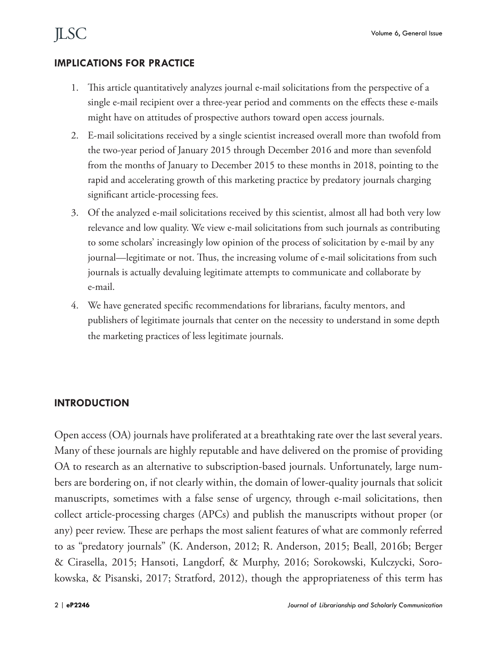#### **IMPLICATIONS FOR PRACTICE**

- 1. This article quantitatively analyzes journal e-mail solicitations from the perspective of a single e-mail recipient over a three-year period and comments on the effects these e-mails might have on attitudes of prospective authors toward open access journals.
- 2. E-mail solicitations received by a single scientist increased overall more than twofold from the two-year period of January 2015 through December 2016 and more than sevenfold from the months of January to December 2015 to these months in 2018, pointing to the rapid and accelerating growth of this marketing practice by predatory journals charging significant article-processing fees.
- 3. Of the analyzed e-mail solicitations received by this scientist, almost all had both very low relevance and low quality. We view e-mail solicitations from such journals as contributing to some scholars' increasingly low opinion of the process of solicitation by e-mail by any journal—legitimate or not. Thus, the increasing volume of e-mail solicitations from such journals is actually devaluing legitimate attempts to communicate and collaborate by e-mail.
- 4. We have generated specific recommendations for librarians, faculty mentors, and publishers of legitimate journals that center on the necessity to understand in some depth the marketing practices of less legitimate journals.

#### **INTRODUCTION**

Open access (OA) journals have proliferated at a breathtaking rate over the last several years. Many of these journals are highly reputable and have delivered on the promise of providing OA to research as an alternative to subscription-based journals. Unfortunately, large numbers are bordering on, if not clearly within, the domain of lower-quality journals that solicit manuscripts, sometimes with a false sense of urgency, through e-mail solicitations, then collect article-processing charges (APCs) and publish the manuscripts without proper (or any) peer review. These are perhaps the most salient features of what are commonly referred to as "predatory journals" (K. Anderson, 2012; R. Anderson, 2015; Beall, 2016b; Berger & Cirasella, 2015; Hansoti, Langdorf, & Murphy, 2016; Sorokowski, Kulczycki, Sorokowska, & Pisanski, 2017; Stratford, 2012), though the appropriateness of this term has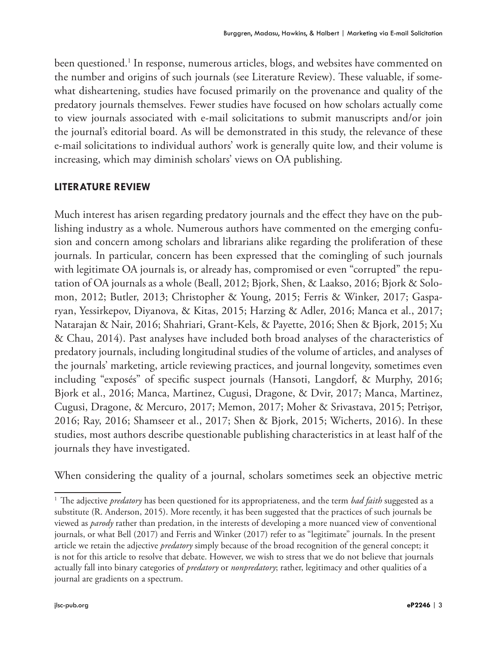been questioned.1 In response, numerous articles, blogs, and websites have commented on the number and origins of such journals (see Literature Review). These valuable, if somewhat disheartening, studies have focused primarily on the provenance and quality of the predatory journals themselves. Fewer studies have focused on how scholars actually come to view journals associated with e-mail solicitations to submit manuscripts and/or join the journal's editorial board. As will be demonstrated in this study, the relevance of these e-mail solicitations to individual authors' work is generally quite low, and their volume is increasing, which may diminish scholars' views on OA publishing.

#### **LITERATURE REVIEW**

Much interest has arisen regarding predatory journals and the effect they have on the publishing industry as a whole. Numerous authors have commented on the emerging confusion and concern among scholars and librarians alike regarding the proliferation of these journals. In particular, concern has been expressed that the comingling of such journals with legitimate OA journals is, or already has, compromised or even "corrupted" the reputation of OA journals as a whole (Beall, 2012; Bjork, Shen, & Laakso, 2016; Bjork & Solomon, 2012; Butler, 2013; Christopher & Young, 2015; Ferris & Winker, 2017; Gasparyan, Yessirkepov, Diyanova, & Kitas, 2015; Harzing & Adler, 2016; Manca et al., 2017; Natarajan & Nair, 2016; Shahriari, Grant-Kels, & Payette, 2016; Shen & Bjork, 2015; Xu & Chau, 2014). Past analyses have included both broad analyses of the characteristics of predatory journals, including longitudinal studies of the volume of articles, and analyses of the journals' marketing, article reviewing practices, and journal longevity, sometimes even including "exposés" of specific suspect journals (Hansoti, Langdorf, & Murphy, 2016; Bjork et al., 2016; Manca, Martinez, Cugusi, Dragone, & Dvir, 2017; Manca, Martinez, Cugusi, Dragone, & Mercuro, 2017; Memon, 2017; Moher & Srivastava, 2015; Petrişor, 2016; Ray, 2016; Shamseer et al., 2017; Shen & Bjork, 2015; Wicherts, 2016). In these studies, most authors describe questionable publishing characteristics in at least half of the journals they have investigated.

When considering the quality of a journal, scholars sometimes seek an objective metric

<sup>1</sup> The adjective *predatory* has been questioned for its appropriateness, and the term *bad faith* suggested as a substitute (R. Anderson, 2015). More recently, it has been suggested that the practices of such journals be viewed as *parody* rather than predation, in the interests of developing a more nuanced view of conventional journals, or what Bell (2017) and Ferris and Winker (2017) refer to as "legitimate" journals. In the present article we retain the adjective *predatory* simply because of the broad recognition of the general concept; it is not for this article to resolve that debate. However, we wish to stress that we do not believe that journals actually fall into binary categories of *predatory* or *nonpredatory*; rather, legitimacy and other qualities of a journal are gradients on a spectrum.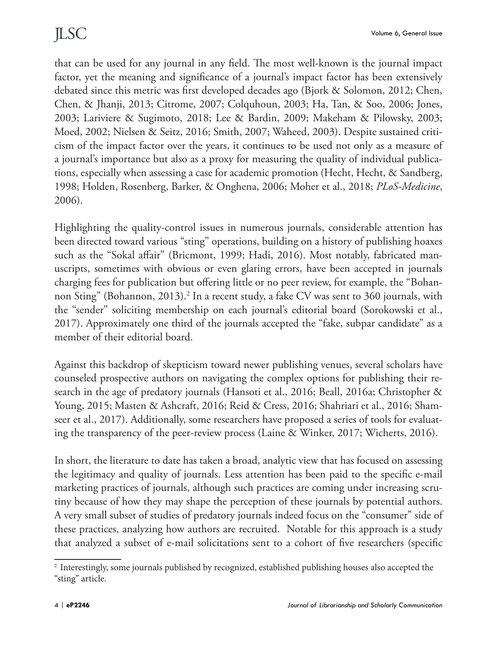that can be used for any journal in any field. The most well-known is the journal impact factor, yet the meaning and significance of a journal's impact factor has been extensively debated since this metric was first developed decades ago (Bjork & Solomon, 2012; Chen, Chen, & Jhanji, 2013; Citrome, 2007; Colquhoun, 2003; Ha, Tan, & Soo, 2006; Jones, 2003; Lariviere & Sugimoto, 2018; Lee & Bardin, 2009; Makeham & Pilowsky, 2003; Moed, 2002; Nielsen & Seitz, 2016; Smith, 2007; Waheed, 2003). Despite sustained criticism of the impact factor over the years, it continues to be used not only as a measure of a journal's importance but also as a proxy for measuring the quality of individual publications, especially when assessing a case for academic promotion (Hecht, Hecht, & Sandberg, 1998; Holden, Rosenberg, Barker, & Onghena, 2006; Moher et al., 2018; *PLoS-Medicine*, 2006).

Highlighting the quality-control issues in numerous journals, considerable attention has been directed toward various "sting" operations, building on a history of publishing hoaxes such as the "Sokal affair" (Bricmont, 1999; Hadi, 2016). Most notably, fabricated manuscripts, sometimes with obvious or even glaring errors, have been accepted in journals charging fees for publication but offering little or no peer review, for example, the "Bohannon Sting" (Bohannon, 2013).<sup>2</sup> In a recent study, a fake CV was sent to 360 journals, with the "sender" soliciting membership on each journal's editorial board (Sorokowski et al., 2017). Approximately one third of the journals accepted the "fake, subpar candidate" as a member of their editorial board.

Against this backdrop of skepticism toward newer publishing venues, several scholars have counseled prospective authors on navigating the complex options for publishing their research in the age of predatory journals (Hansoti et al., 2016; Beall, 2016a; Christopher & Young, 2015; Masten & Ashcraft, 2016; Reid & Cress, 2016; Shahriari et al., 2016; Shamseer et al., 2017). Additionally, some researchers have proposed a series of tools for evaluating the transparency of the peer-review process (Laine & Winker, 2017; Wicherts, 2016).

In short, the literature to date has taken a broad, analytic view that has focused on assessing the legitimacy and quality of journals. Less attention has been paid to the specific e-mail marketing practices of journals, although such practices are coming under increasing scrutiny because of how they may shape the perception of these journals by potential authors. A very small subset of studies of predatory journals indeed focus on the "consumer" side of these practices, analyzing how authors are recruited. Notable for this approach is a study that analyzed a subset of e-mail solicitations sent to a cohort of five researchers (specific

<sup>2</sup> Interestingly, some journals published by recognized, established publishing houses also accepted the "sting" article.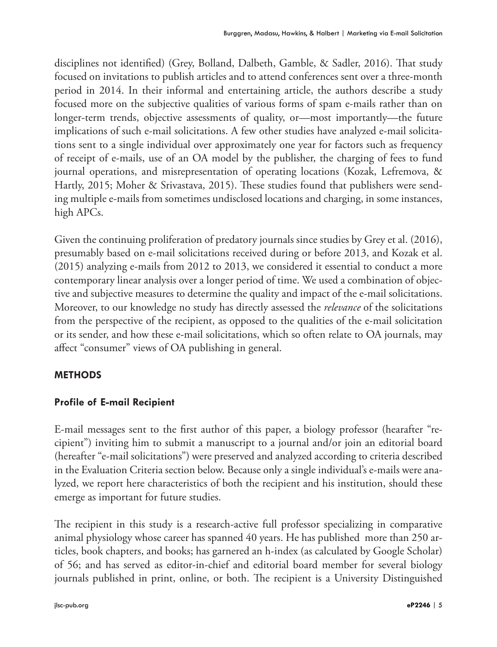disciplines not identified) (Grey, Bolland, Dalbeth, Gamble, & Sadler, 2016). That study focused on invitations to publish articles and to attend conferences sent over a three-month period in 2014. In their informal and entertaining article, the authors describe a study focused more on the subjective qualities of various forms of spam e-mails rather than on longer-term trends, objective assessments of quality, or—most importantly—the future implications of such e-mail solicitations. A few other studies have analyzed e-mail solicitations sent to a single individual over approximately one year for factors such as frequency of receipt of e-mails, use of an OA model by the publisher, the charging of fees to fund journal operations, and misrepresentation of operating locations (Kozak, Lefremova, & Hartly, 2015; Moher & Srivastava, 2015). These studies found that publishers were sending multiple e-mails from sometimes undisclosed locations and charging, in some instances, high APCs.

Given the continuing proliferation of predatory journals since studies by Grey et al. (2016), presumably based on e-mail solicitations received during or before 2013, and Kozak et al. (2015) analyzing e-mails from 2012 to 2013, we considered it essential to conduct a more contemporary linear analysis over a longer period of time. We used a combination of objective and subjective measures to determine the quality and impact of the e-mail solicitations. Moreover, to our knowledge no study has directly assessed the *relevance* of the solicitations from the perspective of the recipient, as opposed to the qualities of the e-mail solicitation or its sender, and how these e-mail solicitations, which so often relate to OA journals, may affect "consumer" views of OA publishing in general.

### **METHODS**

#### **Profile of E-mail Recipient**

E-mail messages sent to the first author of this paper, a biology professor (hearafter "recipient") inviting him to submit a manuscript to a journal and/or join an editorial board (hereafter "e-mail solicitations") were preserved and analyzed according to criteria described in the Evaluation Criteria section below. Because only a single individual's e-mails were analyzed, we report here characteristics of both the recipient and his institution, should these emerge as important for future studies.

The recipient in this study is a research-active full professor specializing in comparative animal physiology whose career has spanned 40 years. He has published more than 250 articles, book chapters, and books; has garnered an h-index (as calculated by Google Scholar) of 56; and has served as editor-in-chief and editorial board member for several biology journals published in print, online, or both. The recipient is a University Distinguished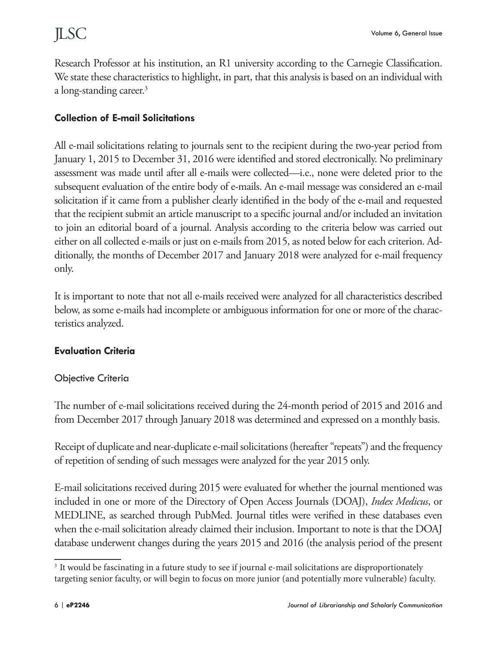Research Professor at his institution, an R1 university according to the Carnegie Classification. We state these characteristics to highlight, in part, that this analysis is based on an individual with a long-standing career.<sup>3</sup>

### **Collection of E-mail Solicitations**

All e-mail solicitations relating to journals sent to the recipient during the two-year period from January 1, 2015 to December 31, 2016 were identified and stored electronically. No preliminary assessment was made until after all e-mails were collected—i.e., none were deleted prior to the subsequent evaluation of the entire body of e-mails. An e-mail message was considered an e-mail solicitation if it came from a publisher clearly identified in the body of the e-mail and requested that the recipient submit an article manuscript to a specific journal and/or included an invitation to join an editorial board of a journal. Analysis according to the criteria below was carried out either on all collected e-mails or just on e-mails from 2015, as noted below for each criterion. Additionally, the months of December 2017 and January 2018 were analyzed for e-mail frequency only.

It is important to note that not all e-mails received were analyzed for all characteristics described below, as some e-mails had incomplete or ambiguous information for one or more of the characteristics analyzed.

#### **Evaluation Criteria**

#### Objective Criteria

The number of e-mail solicitations received during the 24-month period of 2015 and 2016 and from December 2017 through January 2018 was determined and expressed on a monthly basis.

Receipt of duplicate and near-duplicate e-mail solicitations (hereafter "repeats") and the frequency of repetition of sending of such messages were analyzed for the year 2015 only.

E-mail solicitations received during 2015 were evaluated for whether the journal mentioned was included in one or more of the Directory of Open Access Journals (DOAJ), *Index Medicus*, or MEDLINE, as searched through PubMed. Journal titles were verified in these databases even when the e-mail solicitation already claimed their inclusion. Important to note is that the DOAJ database underwent changes during the years 2015 and 2016 (the analysis period of the present

<sup>&</sup>lt;sup>3</sup> It would be fascinating in a future study to see if journal e-mail solicitations are disproportionately targeting senior faculty, or will begin to focus on more junior (and potentially more vulnerable) faculty.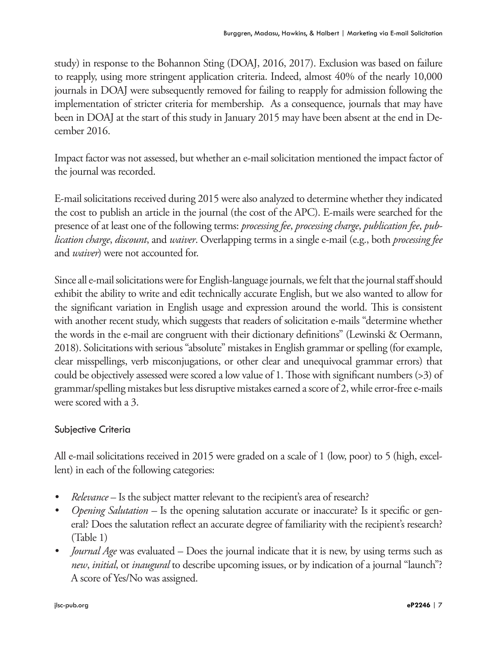study) in response to the Bohannon Sting (DOAJ, 2016, 2017). Exclusion was based on failure to reapply, using more stringent application criteria. Indeed, almost 40% of the nearly 10,000 journals in DOAJ were subsequently removed for failing to reapply for admission following the implementation of stricter criteria for membership. As a consequence, journals that may have been in DOAJ at the start of this study in January 2015 may have been absent at the end in December 2016.

Impact factor was not assessed, but whether an e-mail solicitation mentioned the impact factor of the journal was recorded.

E-mail solicitations received during 2015 were also analyzed to determine whether they indicated the cost to publish an article in the journal (the cost of the APC). E-mails were searched for the presence of at least one of the following terms: *processing fee*, *processing charge*, *publication fee*, *publication charge*, *discount*, and *waiver*. Overlapping terms in a single e-mail (e.g., both *processing fee* and *waiver*) were not accounted for.

Since all e-mail solicitations were for English-language journals, we felt that the journal staff should exhibit the ability to write and edit technically accurate English, but we also wanted to allow for the significant variation in English usage and expression around the world. This is consistent with another recent study, which suggests that readers of solicitation e-mails "determine whether the words in the e-mail are congruent with their dictionary definitions" (Lewinski & Oermann, 2018). Solicitations with serious "absolute" mistakes in English grammar or spelling (for example, clear misspellings, verb misconjugations, or other clear and unequivocal grammar errors) that could be objectively assessed were scored a low value of 1. Those with significant numbers (>3) of grammar/spelling mistakes but less disruptive mistakes earned a score of 2, while error-free e-mails were scored with a 3.

#### Subjective Criteria

All e-mail solicitations received in 2015 were graded on a scale of 1 (low, poor) to 5 (high, excellent) in each of the following categories:

- *• Relevance* Is the subject matter relevant to the recipient's area of research?
- *Opening Salutation* Is the opening salutation accurate or inaccurate? Is it specific or general? Does the salutation reflect an accurate degree of familiarity with the recipient's research? (Table 1)
- *• Journal Age* was evaluated Does the journal indicate that it is new, by using terms such as *new*, *initial*, or *inaugural* to describe upcoming issues, or by indication of a journal "launch"? A score of Yes/No was assigned.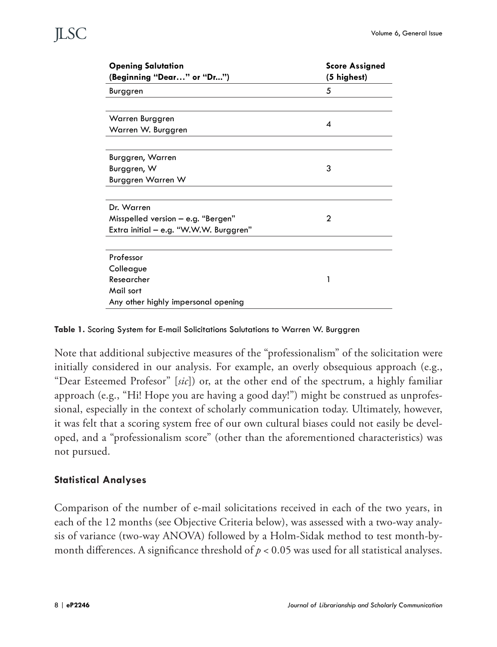| <b>Opening Salutation</b>              | <b>Score Assigned</b> |
|----------------------------------------|-----------------------|
| (Beginning "Dear" or "Dr")             | (5 highest)           |
| Burggren                               | 5                     |
|                                        |                       |
| Warren Burggren                        | 4                     |
| Warren W. Burggren                     |                       |
|                                        |                       |
| Burggren, Warren                       |                       |
| Burggren, W                            | 3                     |
| Burggren Warren W                      |                       |
|                                        |                       |
| Dr. Warren                             |                       |
| Misspelled version $-$ e.g. "Bergen"   | 2                     |
| Extra initial – e.g. "W.W.W. Burggren" |                       |
|                                        |                       |
| Professor                              |                       |
| Colleague                              |                       |
| Researcher                             | 1                     |
| Mail sort                              |                       |
| Any other highly impersonal opening    |                       |

**Table 1.** Scoring System for E-mail Solicitations Salutations to Warren W. Burggren

Note that additional subjective measures of the "professionalism" of the solicitation were initially considered in our analysis. For example, an overly obsequious approach (e.g., "Dear Esteemed Profesor" [*sic*]) or, at the other end of the spectrum, a highly familiar approach (e.g., "Hi! Hope you are having a good day!") might be construed as unprofessional, especially in the context of scholarly communication today. Ultimately, however, it was felt that a scoring system free of our own cultural biases could not easily be developed, and a "professionalism score" (other than the aforementioned characteristics) was not pursued.

#### **Statistical Analyses**

Comparison of the number of e-mail solicitations received in each of the two years, in each of the 12 months (see Objective Criteria below), was assessed with a two-way analysis of variance (two-way ANOVA) followed by a Holm-Sidak method to test month-bymonth differences. A significance threshold of  $p < 0.05$  was used for all statistical analyses.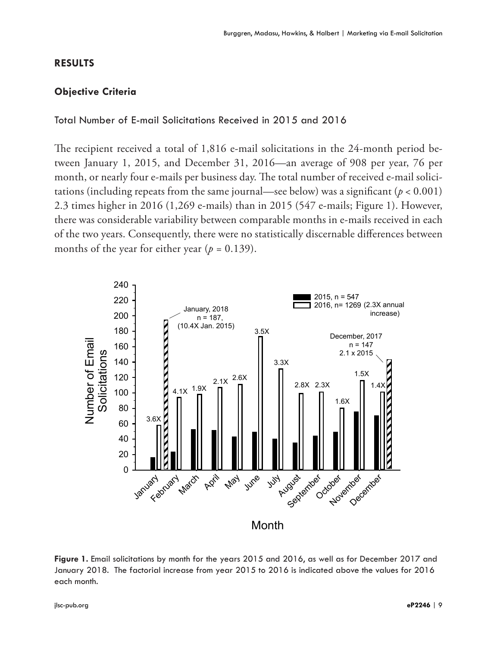#### **RESULTS**

#### **Objective Criteria**

#### Total Number of E-mail Solicitations Received in 2015 and 2016

The recipient received a total of 1,816 e-mail solicitations in the 24-month period between January 1, 2015, and December 31, 2016—an average of 908 per year, 76 per month, or nearly four e-mails per business day. The total number of received e-mail solicitations (including repeats from the same journal—see below) was a significant ( $p < 0.001$ ) 2.3 times higher in 2016 (1,269 e-mails) than in 2015 (547 e-mails; Figure 1). However, there was considerable variability between comparable months in e-mails received in each of the two years. Consequently, there were no statistically discernable differences between months of the year for either year ( $p = 0.139$ ).



**Figure 1.** Email solicitations by month for the years 2015 and 2016, as well as for December 2017 and January 2018. The factorial increase from year 2015 to 2016 is indicated above the values for 2016 each month.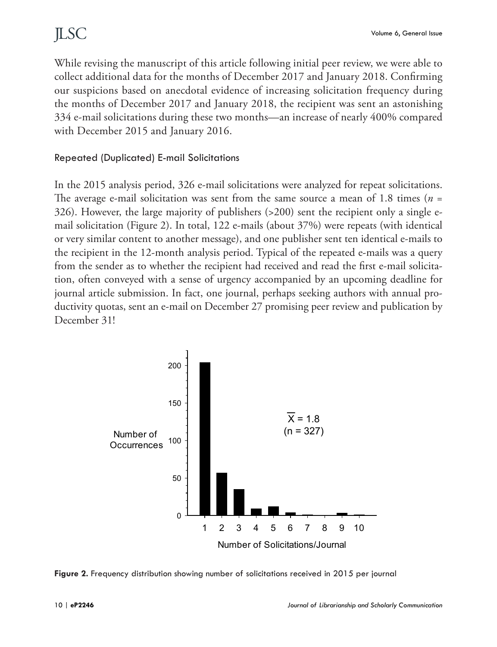While revising the manuscript of this article following initial peer review, we were able to collect additional data for the months of December 2017 and January 2018. Confirming our suspicions based on anecdotal evidence of increasing solicitation frequency during the months of December 2017 and January 2018, the recipient was sent an astonishing 334 e-mail solicitations during these two months—an increase of nearly 400% compared with December 2015 and January 2016.

#### Repeated (Duplicated) E-mail Solicitations

In the 2015 analysis period, 326 e-mail solicitations were analyzed for repeat solicitations. The average e-mail solicitation was sent from the same source a mean of 1.8 times (*n* = 326). However, the large majority of publishers (>200) sent the recipient only a single email solicitation (Figure 2). In total, 122 e-mails (about 37%) were repeats (with identical or very similar content to another message), and one publisher sent ten identical e-mails to the recipient in the 12-month analysis period. Typical of the repeated e-mails was a query from the sender as to whether the recipient had received and read the first e-mail solicitation, often conveyed with a sense of urgency accompanied by an upcoming deadline for journal article submission. In fact, one journal, perhaps seeking authors with annual productivity quotas, sent an e-mail on December 27 promising peer review and publication by December 31!



**Figure 2.** Frequency distribution showing number of solicitations received in 2015 per journal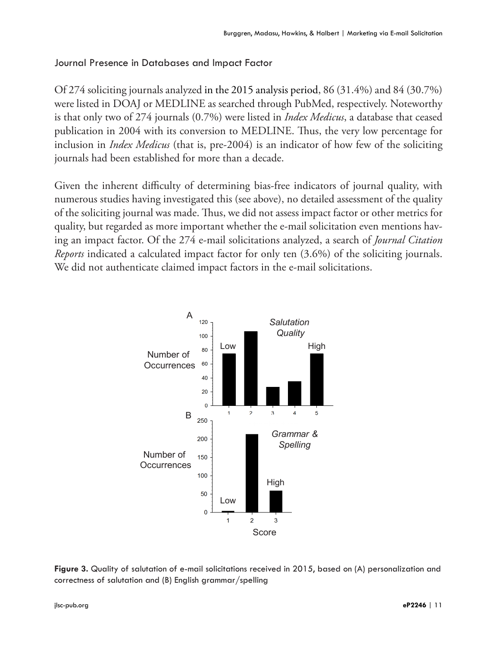#### Journal Presence in Databases and Impact Factor

Of 274 soliciting journals analyzed in the 2015 analysis period, 86 (31.4%) and 84 (30.7%) were listed in DOAJ or MEDLINE as searched through PubMed, respectively. Noteworthy is that only two of 274 journals (0.7%) were listed in *Index Medicus*, a database that ceased publication in 2004 with its conversion to MEDLINE. Thus, the very low percentage for inclusion in *Index Medicus* (that is, pre-2004) is an indicator of how few of the soliciting journals had been established for more than a decade.

Given the inherent difficulty of determining bias-free indicators of journal quality, with numerous studies having investigated this (see above), no detailed assessment of the quality of the soliciting journal was made. Thus, we did not assess impact factor or other metrics for quality, but regarded as more important whether the e-mail solicitation even mentions having an impact factor. Of the 274 e-mail solicitations analyzed, a search of *Journal Citation Reports* indicated a calculated impact factor for only ten (3.6%) of the soliciting journals. We did not authenticate claimed impact factors in the e-mail solicitations.



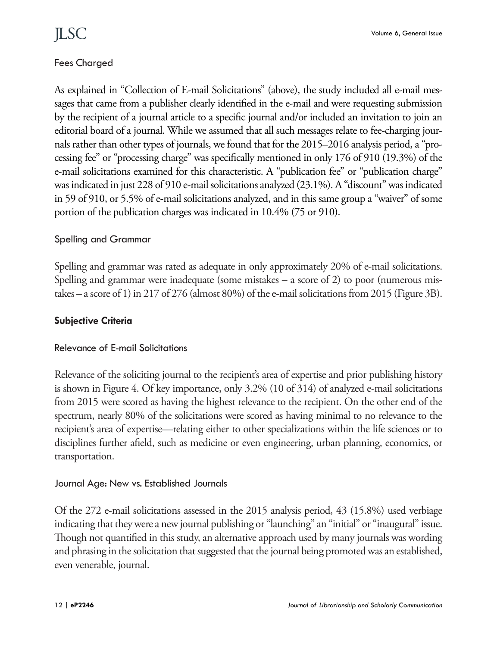### Fees Charged

As explained in "Collection of E-mail Solicitations" (above), the study included all e-mail messages that came from a publisher clearly identified in the e-mail and were requesting submission by the recipient of a journal article to a specific journal and/or included an invitation to join an editorial board of a journal. While we assumed that all such messages relate to fee-charging journals rather than other types of journals, we found that for the 2015–2016 analysis period, a "processing fee" or "processing charge" was specifically mentioned in only 176 of 910 (19.3%) of the e-mail solicitations examined for this characteristic. A "publication fee" or "publication charge" was indicated in just 228 of 910 e-mail solicitations analyzed (23.1%). A "discount" was indicated in 59 of 910, or 5.5% of e-mail solicitations analyzed, and in this same group a "waiver" of some portion of the publication charges was indicated in 10.4% (75 or 910).

#### Spelling and Grammar

Spelling and grammar was rated as adequate in only approximately 20% of e-mail solicitations. Spelling and grammar were inadequate (some mistakes – a score of 2) to poor (numerous mistakes – a score of 1) in 217 of 276 (almost 80%) of the e-mail solicitations from 2015 (Figure 3B).

#### **Subjective Criteria**

#### Relevance of E-mail Solicitations

Relevance of the soliciting journal to the recipient's area of expertise and prior publishing history is shown in Figure 4. Of key importance, only 3.2% (10 of 314) of analyzed e-mail solicitations from 2015 were scored as having the highest relevance to the recipient. On the other end of the spectrum, nearly 80% of the solicitations were scored as having minimal to no relevance to the recipient's area of expertise—relating either to other specializations within the life sciences or to disciplines further afield, such as medicine or even engineering, urban planning, economics, or transportation.

#### Journal Age: New vs. Established Journals

Of the 272 e-mail solicitations assessed in the 2015 analysis period, 43 (15.8%) used verbiage indicating that they were a new journal publishing or "launching" an "initial" or "inaugural" issue. Though not quantified in this study, an alternative approach used by many journals was wording and phrasing in the solicitation that suggested that the journal being promoted was an established, even venerable, journal.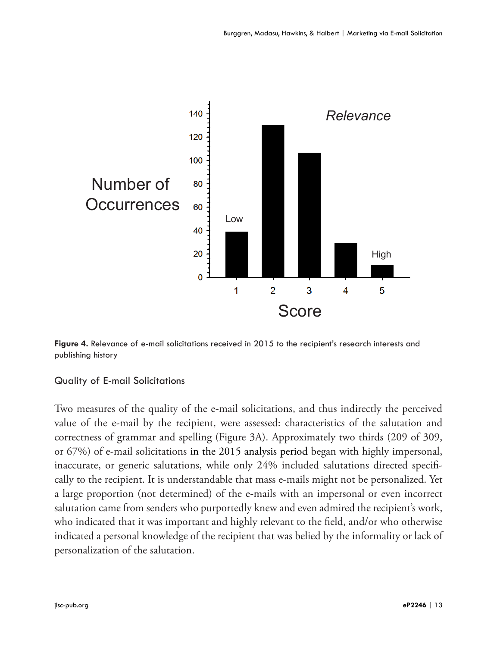

**Figure 4.** Relevance of e-mail solicitations received in 2015 to the recipient's research interests and publishing history

#### Quality of E-mail Solicitations

Two measures of the quality of the e-mail solicitations, and thus indirectly the perceived value of the e-mail by the recipient, were assessed: characteristics of the salutation and correctness of grammar and spelling (Figure 3A). Approximately two thirds (209 of 309, or 67%) of e-mail solicitations in the 2015 analysis period began with highly impersonal, inaccurate, or generic salutations, while only 24% included salutations directed specifically to the recipient. It is understandable that mass e-mails might not be personalized. Yet a large proportion (not determined) of the e-mails with an impersonal or even incorrect salutation came from senders who purportedly knew and even admired the recipient's work, who indicated that it was important and highly relevant to the field, and/or who otherwise indicated a personal knowledge of the recipient that was belied by the informality or lack of personalization of the salutation.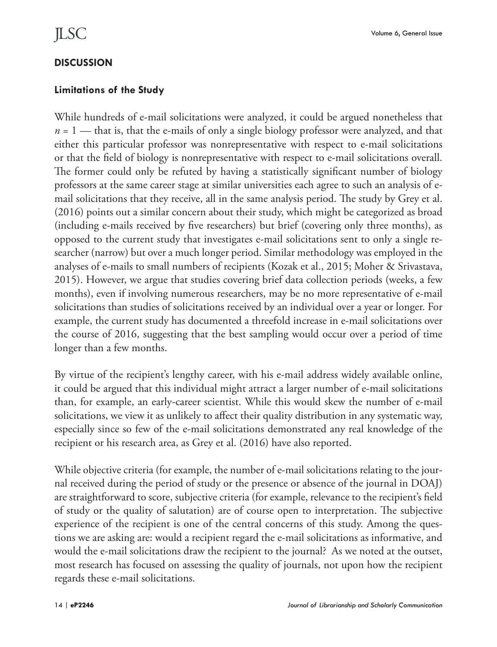#### **DISCUSSION**

#### **Limitations of the Study**

While hundreds of e-mail solicitations were analyzed, it could be argued nonetheless that  $n = 1$  — that is, that the e-mails of only a single biology professor were analyzed, and that either this particular professor was nonrepresentative with respect to e-mail solicitations or that the field of biology is nonrepresentative with respect to e-mail solicitations overall. The former could only be refuted by having a statistically significant number of biology professors at the same career stage at similar universities each agree to such an analysis of email solicitations that they receive, all in the same analysis period. The study by Grey et al. (2016) points out a similar concern about their study, which might be categorized as broad (including e-mails received by five researchers) but brief (covering only three months), as opposed to the current study that investigates e-mail solicitations sent to only a single researcher (narrow) but over a much longer period. Similar methodology was employed in the analyses of e-mails to small numbers of recipients (Kozak et al., 2015; Moher & Srivastava, 2015). However, we argue that studies covering brief data collection periods (weeks, a few months), even if involving numerous researchers, may be no more representative of e-mail solicitations than studies of solicitations received by an individual over a year or longer. For example, the current study has documented a threefold increase in e-mail solicitations over the course of 2016, suggesting that the best sampling would occur over a period of time longer than a few months.

By virtue of the recipient's lengthy career, with his e-mail address widely available online, it could be argued that this individual might attract a larger number of e-mail solicitations than, for example, an early-career scientist. While this would skew the number of e-mail solicitations, we view it as unlikely to affect their quality distribution in any systematic way, especially since so few of the e-mail solicitations demonstrated any real knowledge of the recipient or his research area, as Grey et al. (2016) have also reported.

While objective criteria (for example, the number of e-mail solicitations relating to the journal received during the period of study or the presence or absence of the journal in DOAJ) are straightforward to score, subjective criteria (for example, relevance to the recipient's field of study or the quality of salutation) are of course open to interpretation. The subjective experience of the recipient is one of the central concerns of this study. Among the questions we are asking are: would a recipient regard the e-mail solicitations as informative, and would the e-mail solicitations draw the recipient to the journal? As we noted at the outset, most research has focused on assessing the quality of journals, not upon how the recipient regards these e-mail solicitations.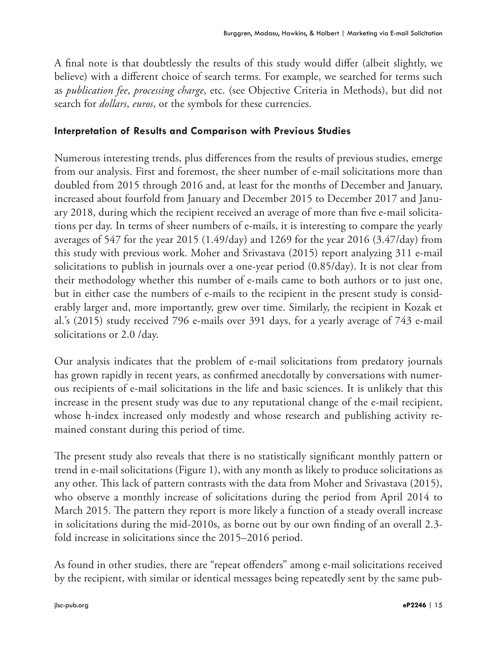A final note is that doubtlessly the results of this study would differ (albeit slightly, we believe) with a different choice of search terms. For example, we searched for terms such as *publication fee*, *processing charge*, etc. (see Objective Criteria in Methods), but did not search for *dollars*, *euros*, or the symbols for these currencies.

#### **Interpretation of Results and Comparison with Previous Studies**

Numerous interesting trends, plus differences from the results of previous studies, emerge from our analysis. First and foremost, the sheer number of e-mail solicitations more than doubled from 2015 through 2016 and, at least for the months of December and January, increased about fourfold from January and December 2015 to December 2017 and January 2018, during which the recipient received an average of more than five e-mail solicitations per day. In terms of sheer numbers of e-mails, it is interesting to compare the yearly averages of 547 for the year 2015 (1.49/day) and 1269 for the year 2016 (3.47/day) from this study with previous work. Moher and Srivastava (2015) report analyzing 311 e-mail solicitations to publish in journals over a one-year period (0.85/day). It is not clear from their methodology whether this number of e-mails came to both authors or to just one, but in either case the numbers of e-mails to the recipient in the present study is considerably larger and, more importantly, grew over time. Similarly, the recipient in Kozak et al.'s (2015) study received 796 e-mails over 391 days, for a yearly average of 743 e-mail solicitations or 2.0 /day.

Our analysis indicates that the problem of e-mail solicitations from predatory journals has grown rapidly in recent years, as confirmed anecdotally by conversations with numerous recipients of e-mail solicitations in the life and basic sciences. It is unlikely that this increase in the present study was due to any reputational change of the e-mail recipient, whose h-index increased only modestly and whose research and publishing activity remained constant during this period of time.

The present study also reveals that there is no statistically significant monthly pattern or trend in e-mail solicitations (Figure 1), with any month as likely to produce solicitations as any other. This lack of pattern contrasts with the data from Moher and Srivastava (2015), who observe a monthly increase of solicitations during the period from April 2014 to March 2015. The pattern they report is more likely a function of a steady overall increase in solicitations during the mid-2010s, as borne out by our own finding of an overall 2.3 fold increase in solicitations since the 2015–2016 period.

As found in other studies, there are "repeat offenders" among e-mail solicitations received by the recipient, with similar or identical messages being repeatedly sent by the same pub-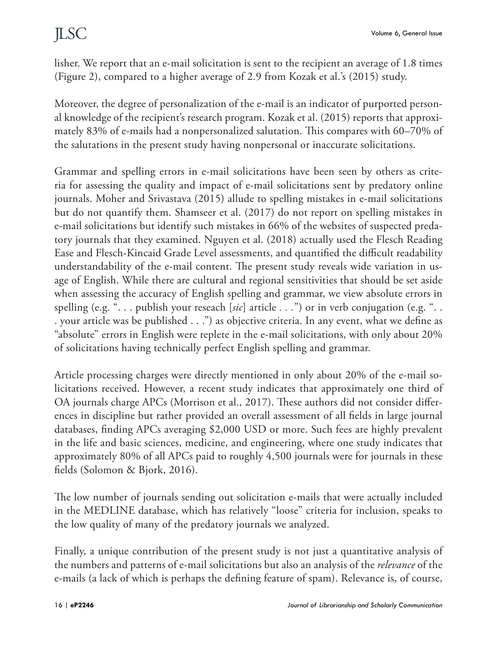lisher. We report that an e-mail solicitation is sent to the recipient an average of 1.8 times (Figure 2), compared to a higher average of 2.9 from Kozak et al.'s (2015) study.

Moreover, the degree of personalization of the e-mail is an indicator of purported personal knowledge of the recipient's research program. Kozak et al. (2015) reports that approximately 83% of e-mails had a nonpersonalized salutation. This compares with 60–70% of the salutations in the present study having nonpersonal or inaccurate solicitations.

Grammar and spelling errors in e-mail solicitations have been seen by others as criteria for assessing the quality and impact of e-mail solicitations sent by predatory online journals. Moher and Srivastava (2015) allude to spelling mistakes in e-mail solicitations but do not quantify them. Shamseer et al. (2017) do not report on spelling mistakes in e-mail solicitations but identify such mistakes in 66% of the websites of suspected predatory journals that they examined. Nguyen et al. (2018) actually used the Flesch Reading Ease and Flesch-Kincaid Grade Level assessments, and quantified the difficult readability understandability of the e-mail content. The present study reveals wide variation in usage of English. While there are cultural and regional sensitivities that should be set aside when assessing the accuracy of English spelling and grammar, we view absolute errors in spelling (e.g. ". . . publish your reseach [*sic*] article *. . .*") or in verb conjugation (e.g. ". . . your article was be published . . .") as objective criteria. In any event, what we define as "absolute" errors in English were replete in the e-mail solicitations, with only about 20% of solicitations having technically perfect English spelling and grammar.

Article processing charges were directly mentioned in only about 20% of the e-mail solicitations received. However, a recent study indicates that approximately one third of OA journals charge APCs (Morrison et al., 2017). These authors did not consider differences in discipline but rather provided an overall assessment of all fields in large journal databases, finding APCs averaging \$2,000 USD or more. Such fees are highly prevalent in the life and basic sciences, medicine, and engineering, where one study indicates that approximately 80% of all APCs paid to roughly 4,500 journals were for journals in these fields (Solomon & Bjork, 2016).

The low number of journals sending out solicitation e-mails that were actually included in the MEDLINE database, which has relatively "loose" criteria for inclusion, speaks to the low quality of many of the predatory journals we analyzed.

Finally, a unique contribution of the present study is not just a quantitative analysis of the numbers and patterns of e-mail solicitations but also an analysis of the *relevance* of the e-mails (a lack of which is perhaps the defining feature of spam). Relevance is, of course,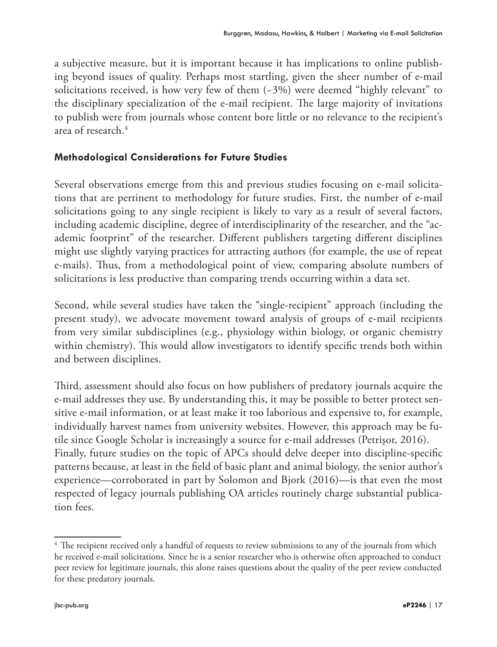a subjective measure, but it is important because it has implications to online publishing beyond issues of quality. Perhaps most startling, given the sheer number of e-mail solicitations received, is how very few of them (~3%) were deemed "highly relevant" to the disciplinary specialization of the e-mail recipient. The large majority of invitations to publish were from journals whose content bore little or no relevance to the recipient's area of research.4

### **Methodological Considerations for Future Studies**

Several observations emerge from this and previous studies focusing on e-mail solicitations that are pertinent to methodology for future studies. First, the number of e-mail solicitations going to any single recipient is likely to vary as a result of several factors, including academic discipline, degree of interdisciplinarity of the researcher, and the "academic footprint" of the researcher. Different publishers targeting different disciplines might use slightly varying practices for attracting authors (for example, the use of repeat e-mails). Thus, from a methodological point of view, comparing absolute numbers of solicitations is less productive than comparing trends occurring within a data set.

Second, while several studies have taken the "single-recipient" approach (including the present study), we advocate movement toward analysis of groups of e-mail recipients from very similar subdisciplines (e.g., physiology within biology, or organic chemistry within chemistry). This would allow investigators to identify specific trends both within and between disciplines.

Third, assessment should also focus on how publishers of predatory journals acquire the e-mail addresses they use. By understanding this, it may be possible to better protect sensitive e-mail information, or at least make it too laborious and expensive to, for example, individually harvest names from university websites. However, this approach may be futile since Google Scholar is increasingly a source for e-mail addresses (Petrişor, 2016). Finally, future studies on the topic of APCs should delve deeper into discipline-specific patterns because, at least in the field of basic plant and animal biology, the senior author's experience—corroborated in part by Solomon and Bjork (2016)—is that even the most respected of legacy journals publishing OA articles routinely charge substantial publication fees.

<sup>&</sup>lt;sup>4</sup> The recipient received only a handful of requests to review submissions to any of the journals from which he received e-mail solicitations. Since he is a senior researcher who is otherwise often approached to conduct peer review for legitimate journals, this alone raises questions about the quality of the peer review conducted for these predatory journals.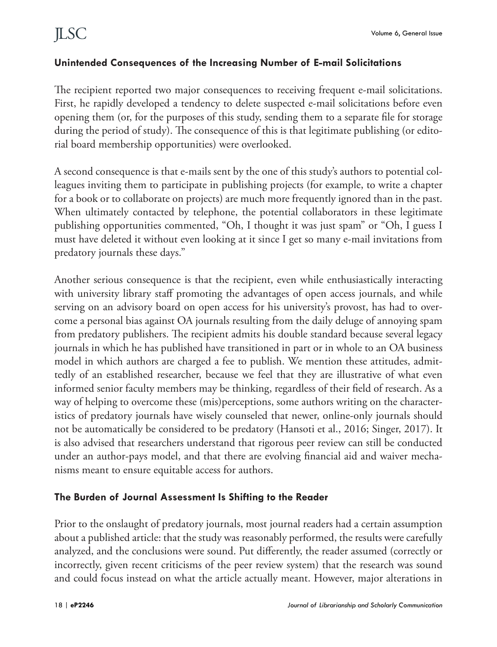#### **Unintended Consequences of the Increasing Number of E-mail Solicitations**

The recipient reported two major consequences to receiving frequent e-mail solicitations. First, he rapidly developed a tendency to delete suspected e-mail solicitations before even opening them (or, for the purposes of this study, sending them to a separate file for storage during the period of study). The consequence of this is that legitimate publishing (or editorial board membership opportunities) were overlooked.

A second consequence is that e-mails sent by the one of this study's authors to potential colleagues inviting them to participate in publishing projects (for example, to write a chapter for a book or to collaborate on projects) are much more frequently ignored than in the past. When ultimately contacted by telephone, the potential collaborators in these legitimate publishing opportunities commented, "Oh, I thought it was just spam" or "Oh, I guess I must have deleted it without even looking at it since I get so many e-mail invitations from predatory journals these days."

Another serious consequence is that the recipient, even while enthusiastically interacting with university library staff promoting the advantages of open access journals, and while serving on an advisory board on open access for his university's provost, has had to overcome a personal bias against OA journals resulting from the daily deluge of annoying spam from predatory publishers. The recipient admits his double standard because several legacy journals in which he has published have transitioned in part or in whole to an OA business model in which authors are charged a fee to publish. We mention these attitudes, admittedly of an established researcher, because we feel that they are illustrative of what even informed senior faculty members may be thinking, regardless of their field of research. As a way of helping to overcome these (mis)perceptions, some authors writing on the characteristics of predatory journals have wisely counseled that newer, online-only journals should not be automatically be considered to be predatory (Hansoti et al., 2016; Singer, 2017). It is also advised that researchers understand that rigorous peer review can still be conducted under an author-pays model, and that there are evolving financial aid and waiver mechanisms meant to ensure equitable access for authors.

#### **The Burden of Journal Assessment Is Shifting to the Reader**

Prior to the onslaught of predatory journals, most journal readers had a certain assumption about a published article: that the study was reasonably performed, the results were carefully analyzed, and the conclusions were sound. Put differently, the reader assumed (correctly or incorrectly, given recent criticisms of the peer review system) that the research was sound and could focus instead on what the article actually meant. However, major alterations in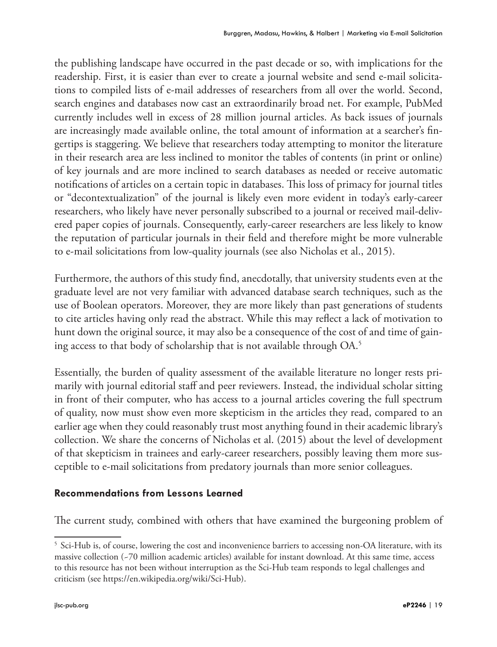the publishing landscape have occurred in the past decade or so, with implications for the readership. First, it is easier than ever to create a journal website and send e-mail solicitations to compiled lists of e-mail addresses of researchers from all over the world. Second, search engines and databases now cast an extraordinarily broad net. For example, PubMed currently includes well in excess of 28 million journal articles. As back issues of journals are increasingly made available online, the total amount of information at a searcher's fingertips is staggering. We believe that researchers today attempting to monitor the literature in their research area are less inclined to monitor the tables of contents (in print or online) of key journals and are more inclined to search databases as needed or receive automatic notifications of articles on a certain topic in databases. This loss of primacy for journal titles or "decontextualization" of the journal is likely even more evident in today's early-career researchers, who likely have never personally subscribed to a journal or received mail-delivered paper copies of journals. Consequently, early-career researchers are less likely to know the reputation of particular journals in their field and therefore might be more vulnerable to e-mail solicitations from low-quality journals (see also Nicholas et al., 2015).

Furthermore, the authors of this study find, anecdotally, that university students even at the graduate level are not very familiar with advanced database search techniques, such as the use of Boolean operators. Moreover, they are more likely than past generations of students to cite articles having only read the abstract. While this may reflect a lack of motivation to hunt down the original source, it may also be a consequence of the cost of and time of gaining access to that body of scholarship that is not available through OA.5

Essentially, the burden of quality assessment of the available literature no longer rests primarily with journal editorial staff and peer reviewers. Instead, the individual scholar sitting in front of their computer, who has access to a journal articles covering the full spectrum of quality, now must show even more skepticism in the articles they read, compared to an earlier age when they could reasonably trust most anything found in their academic library's collection. We share the concerns of Nicholas et al. (2015) about the level of development of that skepticism in trainees and early-career researchers, possibly leaving them more susceptible to e-mail solicitations from predatory journals than more senior colleagues.

#### **Recommendations from Lessons Learned**

The current study, combined with others that have examined the burgeoning problem of

<sup>5</sup> Sci-Hub is, of course, lowering the cost and inconvenience barriers to accessing non-OA literature, with its massive collection (~70 million academic articles) available for instant download. At this same time, access to this resource has not been without interruption as the Sci-Hub team responds to legal challenges and criticism (see https://en.wikipedia.org/wiki/Sci-Hub).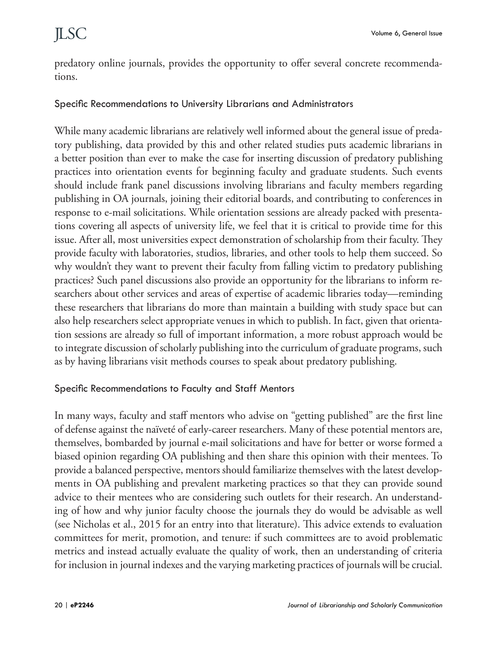predatory online journals, provides the opportunity to offer several concrete recommendations.

#### Specific Recommendations to University Librarians and Administrators

While many academic librarians are relatively well informed about the general issue of predatory publishing, data provided by this and other related studies puts academic librarians in a better position than ever to make the case for inserting discussion of predatory publishing practices into orientation events for beginning faculty and graduate students. Such events should include frank panel discussions involving librarians and faculty members regarding publishing in OA journals, joining their editorial boards, and contributing to conferences in response to e-mail solicitations. While orientation sessions are already packed with presentations covering all aspects of university life, we feel that it is critical to provide time for this issue. After all, most universities expect demonstration of scholarship from their faculty. They provide faculty with laboratories, studios, libraries, and other tools to help them succeed. So why wouldn't they want to prevent their faculty from falling victim to predatory publishing practices? Such panel discussions also provide an opportunity for the librarians to inform researchers about other services and areas of expertise of academic libraries today—reminding these researchers that librarians do more than maintain a building with study space but can also help researchers select appropriate venues in which to publish. In fact, given that orientation sessions are already so full of important information, a more robust approach would be to integrate discussion of scholarly publishing into the curriculum of graduate programs, such as by having librarians visit methods courses to speak about predatory publishing.

#### Specific Recommendations to Faculty and Staff Mentors

In many ways, faculty and staff mentors who advise on "getting published" are the first line of defense against the naïveté of early-career researchers. Many of these potential mentors are, themselves, bombarded by journal e-mail solicitations and have for better or worse formed a biased opinion regarding OA publishing and then share this opinion with their mentees. To provide a balanced perspective, mentors should familiarize themselves with the latest developments in OA publishing and prevalent marketing practices so that they can provide sound advice to their mentees who are considering such outlets for their research. An understanding of how and why junior faculty choose the journals they do would be advisable as well (see Nicholas et al., 2015 for an entry into that literature). This advice extends to evaluation committees for merit, promotion, and tenure: if such committees are to avoid problematic metrics and instead actually evaluate the quality of work, then an understanding of criteria for inclusion in journal indexes and the varying marketing practices of journals will be crucial.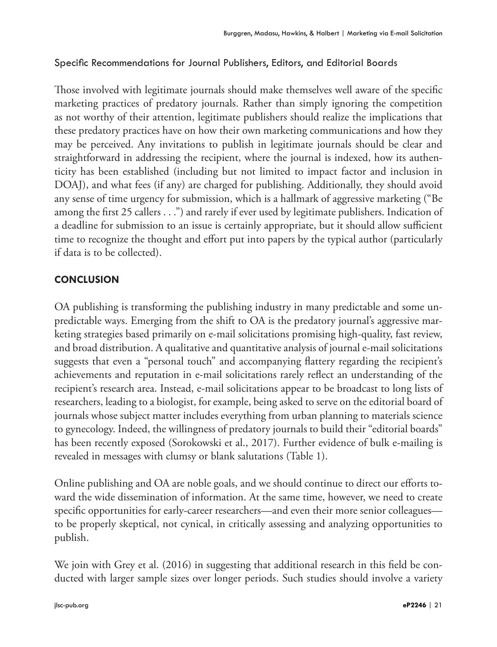### Specific Recommendations for Journal Publishers, Editors, and Editorial Boards

Those involved with legitimate journals should make themselves well aware of the specific marketing practices of predatory journals. Rather than simply ignoring the competition as not worthy of their attention, legitimate publishers should realize the implications that these predatory practices have on how their own marketing communications and how they may be perceived. Any invitations to publish in legitimate journals should be clear and straightforward in addressing the recipient, where the journal is indexed, how its authenticity has been established (including but not limited to impact factor and inclusion in DOAJ), and what fees (if any) are charged for publishing. Additionally, they should avoid any sense of time urgency for submission, which is a hallmark of aggressive marketing ("Be among the first 25 callers . . .") and rarely if ever used by legitimate publishers. Indication of a deadline for submission to an issue is certainly appropriate, but it should allow sufficient time to recognize the thought and effort put into papers by the typical author (particularly if data is to be collected).

### **CONCLUSION**

OA publishing is transforming the publishing industry in many predictable and some unpredictable ways. Emerging from the shift to OA is the predatory journal's aggressive marketing strategies based primarily on e-mail solicitations promising high-quality, fast review, and broad distribution. A qualitative and quantitative analysis of journal e-mail solicitations suggests that even a "personal touch" and accompanying flattery regarding the recipient's achievements and reputation in e-mail solicitations rarely reflect an understanding of the recipient's research area. Instead, e-mail solicitations appear to be broadcast to long lists of researchers, leading to a biologist, for example, being asked to serve on the editorial board of journals whose subject matter includes everything from urban planning to materials science to gynecology. Indeed, the willingness of predatory journals to build their "editorial boards" has been recently exposed (Sorokowski et al., 2017). Further evidence of bulk e-mailing is revealed in messages with clumsy or blank salutations (Table 1).

Online publishing and OA are noble goals, and we should continue to direct our efforts toward the wide dissemination of information. At the same time, however, we need to create specific opportunities for early-career researchers—and even their more senior colleagues to be properly skeptical, not cynical, in critically assessing and analyzing opportunities to publish.

We join with Grey et al. (2016) in suggesting that additional research in this field be conducted with larger sample sizes over longer periods. Such studies should involve a variety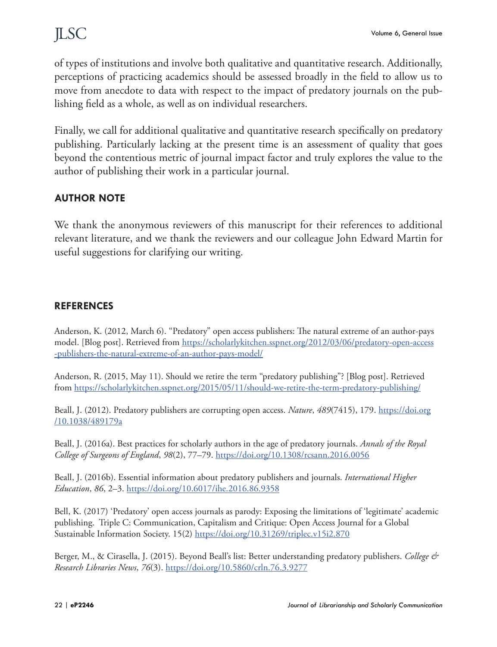of types of institutions and involve both qualitative and quantitative research. Additionally, perceptions of practicing academics should be assessed broadly in the field to allow us to move from anecdote to data with respect to the impact of predatory journals on the publishing field as a whole, as well as on individual researchers.

Finally, we call for additional qualitative and quantitative research specifically on predatory publishing. Particularly lacking at the present time is an assessment of quality that goes beyond the contentious metric of journal impact factor and truly explores the value to the author of publishing their work in a particular journal.

### **AUTHOR NOTE**

We thank the anonymous reviewers of this manuscript for their references to additional relevant literature, and we thank the reviewers and our colleague John Edward Martin for useful suggestions for clarifying our writing.

#### **REFERENCES**

Anderson, K. (2012, March 6). "Predatory" open access publishers: The natural extreme of an author-pays model. [Blog post]. Retrieved from [https://scholarlykitchen.sspnet.org/2012/03/06/predatory-open-access](https://scholarlykitchen.sspnet.org/2012/03/06/predatory-open-access-publishers-the-natural-extreme-of-an-author-pays-model/) [-publishers-the-natural-extreme-of-an-author-pays-model/](https://scholarlykitchen.sspnet.org/2012/03/06/predatory-open-access-publishers-the-natural-extreme-of-an-author-pays-model/)

Anderson, R. (2015, May 11). Should we retire the term "predatory publishing"? [Blog post]. Retrieved from <https://scholarlykitchen.sspnet.org/2015/05/11/should-we-retire-the-term-predatory-publishing/>

Beall, J. (2012). Predatory publishers are corrupting open access. *Nature*, *489*(7415), 179. [https://doi.org](https://doi.org/10.1038/489179a) [/10.1038/489179a](https://doi.org/10.1038/489179a)

Beall, J. (2016a). Best practices for scholarly authors in the age of predatory journals. *Annals of the Royal College of Surgeons of England*, *98*(2), 77–79.<https://doi.org/10.1308/rcsann.2016.0056>

Beall, J. (2016b). Essential information about predatory publishers and journals. *International Higher Education*, *86*, 2–3.<https://doi.org/10.6017/ihe.2016.86.9358>

Bell, K. (2017) 'Predatory' open access journals as parody: Exposing the limitations of 'legitimate' academic publishing. Triple C: Communication, Capitalism and Critique: Open Access Journal for a Global Sustainable Information Society. 15(2) https://doi.org/10.31269/triplec.v15i2.870

Berger, M., & Cirasella, J. (2015). Beyond Beall's list: Better understanding predatory publishers. *College & Research Libraries News*, *76*(3).<https://doi.org/10.5860/crln.76.3.9277>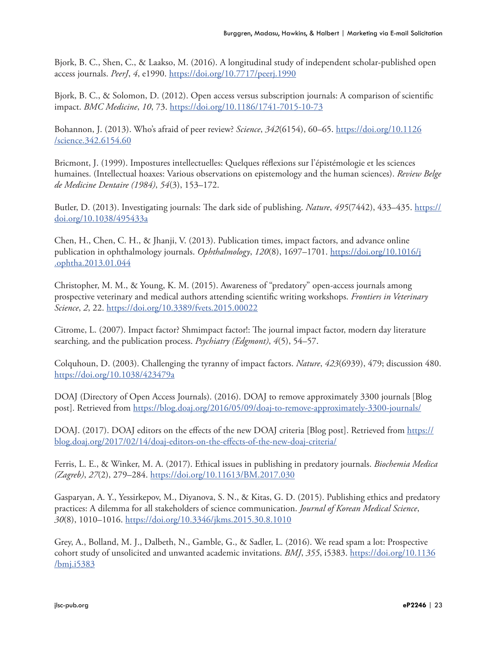Bjork, B. C., Shen, C., & Laakso, M. (2016). A longitudinal study of independent scholar-published open access journals. *PeerJ*, *4*, e1990.<https://doi.org/10.7717/peerj.1990>

Bjork, B. C., & Solomon, D. (2012). Open access versus subscription journals: A comparison of scientific impact. *BMC Medicine*, *10*, 73. <https://doi.org/10.1186/1741-7015-10-73>

Bohannon, J. (2013). Who's afraid of peer review? *Science*, *342*(6154), 60–65. [https://doi.org/10.1126](https://doi.org/10.1126/science.342.6154.60) [/science.342.6154.60](https://doi.org/10.1126/science.342.6154.60)

Bricmont, J. (1999). Impostures intellectuelles: Quelques réflexions sur l'épistémologie et les sciences humaines. (Intellectual hoaxes: Various observations on epistemology and the human sciences). *Review Belge de Medicine Dentaire (1984)*, *54*(3), 153–172.

Butler, D. (2013). Investigating journals: The dark side of publishing. *Nature*, *495*(7442), 433–435. [https://](https://doi.org/10.1038/495433a) [doi.org/10.1038/495433a](https://doi.org/10.1038/495433a)

Chen, H., Chen, C. H., & Jhanji, V. (2013). Publication times, impact factors, and advance online publication in ophthalmology journals. *Ophthalmology*, *120*(8), 1697–1701. [https://doi.org/10.1016/j](https://doi.org/10.1016/j.ophtha.2013.01.044) [.ophtha.2013.01.044](https://doi.org/10.1016/j.ophtha.2013.01.044)

Christopher, M. M., & Young, K. M. (2015). Awareness of "predatory" open-access journals among prospective veterinary and medical authors attending scientific writing workshops. *Frontiers in Veterinary Science*, *2*, 22. <https://doi.org/10.3389/fvets.2015.00022>

Citrome, L. (2007). Impact factor? Shmimpact factor!: The journal impact factor, modern day literature searching, and the publication process. *Psychiatry (Edgmont)*, *4*(5), 54–57.

Colquhoun, D. (2003). Challenging the tyranny of impact factors. *Nature*, *423*(6939), 479; discussion 480. <https://doi.org/10.1038/423479a>

DOAJ (Directory of Open Access Journals). (2016). DOAJ to remove approximately 3300 journals [Blog post]. Retrieved from<https://blog.doaj.org/2016/05/09/doaj-to-remove-approximately-3300-journals/>

DOAJ. (2017). DOAJ editors on the effects of the new DOAJ criteria [Blog post]. Retrieved from [https://](https://blog.doaj.org/2017/02/14/doaj-editors-on-the-effects-of-the-new-doaj-criteria/) [blog.doaj.org/2017/02/14/doaj-editors-on-the-effects-of-the-new-doaj-criteria/](https://blog.doaj.org/2017/02/14/doaj-editors-on-the-effects-of-the-new-doaj-criteria/)

Ferris, L. E., & Winker, M. A. (2017). Ethical issues in publishing in predatory journals. *Biochemia Medica (Zagreb)*, *27*(2), 279–284. <https://doi.org/10.11613/BM.2017.030>

Gasparyan, A. Y., Yessirkepov, M., Diyanova, S. N., & Kitas, G. D. (2015). Publishing ethics and predatory practices: A dilemma for all stakeholders of science communication. *Journal of Korean Medical Science*, *30*(8), 1010–1016. <https://doi.org/10.3346/jkms.2015.30.8.1010>

Grey, A., Bolland, M. J., Dalbeth, N., Gamble, G., & Sadler, L. (2016). We read spam a lot: Prospective cohort study of unsolicited and unwanted academic invitations. *BMJ*, *355*, i5383. [https://doi.org/10.1136](https://doi.org/10.1136/bmj.i5383) [/bmj.i5383](https://doi.org/10.1136/bmj.i5383)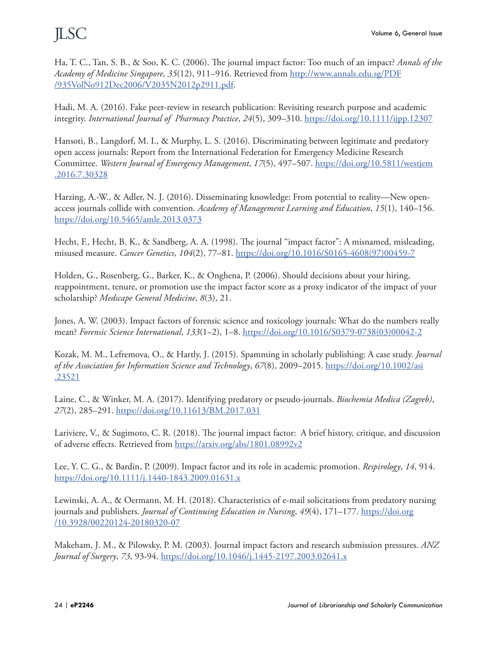Ha, T. C., Tan, S. B., & Soo, K. C. (2006). The journal impact factor: Too much of an impact? *Annals of the Academy of Medicine Singapore*, *35*(12), 911–916. Retrieved from http://www.annals.edu.sg/PDF /935VolNo912Dec2006/V2035N2012p2911.pdf.

Hadi, M. A. (2016). Fake peer-review in research publication: Revisiting research purpose and academic integrity. *International Journal of Pharmacy Practice*, *24*(5), 309–310. <https://doi.org/10.1111/ijpp.12307>

Hansoti, B., Langdorf, M. I., & Murphy, L. S. (2016). Discriminating between legitimate and predatory open access journals: Report from the International Federation for Emergency Medicine Research Committee. *Western Journal of Emergency Management*, *17*(5), 497–507. [https://doi.org/10.5811/westjem](https://doi.org/10.5811/westjem.2016.7.30328) [.2016.7.30328](https://doi.org/10.5811/westjem.2016.7.30328)

Harzing, A.-W., & Adler, N. J. (2016). Disseminating knowledge: From potential to reality—New openaccess journals collide with convention. *Academy of Management Learning and Education*, *15*(1), 140–156. <https://doi.org/10.5465/amle.2013.0373>

Hecht, F., Hecht, B. K., & Sandberg, A. A. (1998). The journal "impact factor": A misnamed, misleading, misused measure. *Cancer Genetics*, *104*(2), 77–81. [https://doi.org/10.1016/S0165-4608\(97\)00459-7](https://doi.org/10.1016/S0165-4608(97)00459-7)

Holden, G., Rosenberg, G., Barker, K., & Onghena, P. (2006). Should decisions about your hiring, reappointment, tenure, or promotion use the impact factor score as a proxy indicator of the impact of your scholarship? *Medscape General Medicine*, *8*(3), 21.

Jones, A. W. (2003). Impact factors of forensic science and toxicology journals: What do the numbers really mean? *Forensic Science International*, *133*(1–2), 1–8. [https://doi.org/10.1016/S0379-0738\(03\)00042-2](https://doi.org/10.1016/S0379-0738(03)00042-2)

Kozak, M. M., Lefremova, O., & Hartly, J. (2015). Spamming in scholarly publishing: A case study. *Journal of the Association for Information Science and Technology*, *67*(8), 2009–2015. [https://doi.org/10.1002/asi](https://doi.org/10.1002/asi.23521) [.23521](https://doi.org/10.1002/asi.23521)

Laine, C., & Winker, M. A. (2017). Identifying predatory or pseudo-journals. *Biochemia Medica (Zagreb)*, *27*(2), 285–291. <https://doi.org/10.11613/BM.2017.031>

Lariviere, V., & Sugimoto, C. R. (2018). The journal impact factor: A brief history, critique, and discussion of adverse effects. Retrieved from<https://arxiv.org/abs/1801.08992v2>

Lee, Y. C. G., & Bardin, P. (2009). Impact factor and its role in academic promotion. *Respirology*, *14*, 914. <https://doi.org/10.1111/j.1440-1843.2009.01631.x>

Lewinski, A. A., & Oermann, M. H. (2018). Characteristics of e-mail solicitations from predatory nursing journals and publishers. *Journal of Continuing Education in Nursing*, *49*(4), 171–177. [https://doi.org](https://doi.org/10.3928/00220124-20180320-07) [/10.3928/00220124-20180320-07](https://doi.org/10.3928/00220124-20180320-07)

Makeham, J. M., & Pilowsky, P. M. (2003). Journal impact factors and research submission pressures. *ANZ Journal of Surgery*, *73*, 93-94.<https://doi.org/10.1046/j.1445-2197.2003.02641.x>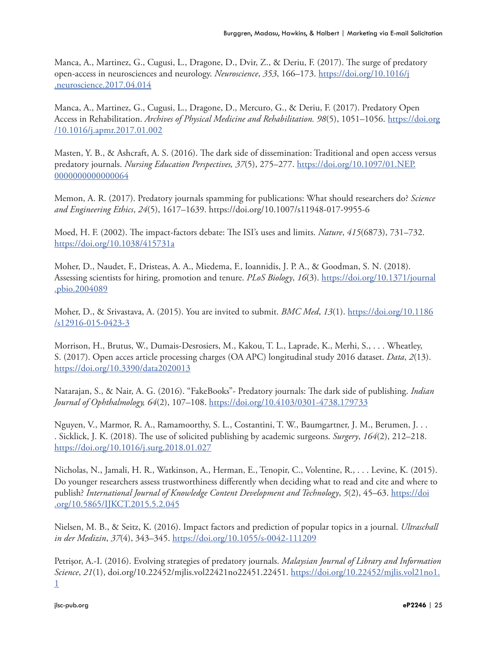Manca, A., Martinez, G., Cugusi, L., Dragone, D., Dvir, Z., & Deriu, F. (2017). The surge of predatory open-access in neurosciences and neurology. *Neuroscience*, *353*, 166–173. [https://doi.org/10.1016/j](https://doi.org/10.1016/j.neuroscience.2017.04.014) [.neuroscience.2017.04.014](https://doi.org/10.1016/j.neuroscience.2017.04.014)

Manca, A., Martinez, G., Cugusi, L., Dragone, D., Mercuro, G., & Deriu, F. (2017). Predatory Open Access in Rehabilitation. *Archives of Physical Medicine and Rehabilitation. 98*(5), 1051–1056. [https://doi.org](https://doi.org/10.1016/j.apmr.2017.01.002) [/10.1016/j.apmr.2017.01.002](https://doi.org/10.1016/j.apmr.2017.01.002)

Masten, Y. B., & Ashcraft, A. S. (2016). The dark side of dissemination: Traditional and open access versus predatory journals. *Nursing Education Perspectives, 37*(5), 275–277. [https://doi.org/10.1097/01.NEP.](https://doi.org/10.1097/01.NEP.0000000000000064) [0000000000000064](https://doi.org/10.1097/01.NEP.0000000000000064)

Memon, A. R. (2017). Predatory journals spamming for publications: What should researchers do? *Science and Engineering Ethics*, *24*(5), 1617–1639. https://doi.org/10.1007/s11948-017-9955-6

Moed, H. F. (2002). The impact-factors debate: The ISI's uses and limits. *Nature*, *415*(6873), 731–732. <https://doi.org/10.1038/415731a>

Moher, D., Naudet, F., Dristeas, A. A., Miedema, F., Ioannidis, J. P. A., & Goodman, S. N. (2018). Assessing scientists for hiring, promotion and tenure. *PLoS Biology*, *16*(3). [https://doi.org/10.1371/journal](https://doi.org/10.1371/journal.pbio.2004089) [.pbio.2004089](https://doi.org/10.1371/journal.pbio.2004089)

Moher, D., & Srivastava, A. (2015). You are invited to submit. *BMC Med*, *13*(1). [https://doi.org/10.1186](https://doi.org/10.1186/s12916-015-0423-3) [/s12916-015-0423-3](https://doi.org/10.1186/s12916-015-0423-3)

Morrison, H., Brutus, W., Dumais-Desrosiers, M., Kakou, T. L., Laprade, K., Merhi, S., . . . Wheatley, S. (2017). Open acces article processing charges (OA APC) longitudinal study 2016 dataset. *Data*, *2*(13). <https://doi.org/10.3390/data2020013>

Natarajan, S., & Nair, A. G. (2016). "FakeBooks"- Predatory journals: The dark side of publishing. *Indian Journal of Ophthalmology, 64*(2), 107–108.<https://doi.org/10.4103/0301-4738.179733>

Nguyen, V., Marmor, R. A., Ramamoorthy, S. L., Costantini, T. W., Baumgartner, J. M., Berumen, J. . . . Sicklick, J. K. (2018). The use of solicited publishing by academic surgeons. *Surgery*, *164*(2), 212–218. <https://doi.org/10.1016/j.surg.2018.01.027>

Nicholas, N., Jamali, H. R., Watkinson, A., Herman, E., Tenopir, C., Volentine, R., . . . Levine, K. (2015). Do younger researchers assess trustworthiness differently when deciding what to read and cite and where to publish? *International Journal of Knowledge Content Development and Technology*, *5*(2), 45–63. [https://doi](https://doi.org/10.5865/IJKCT.2015.5.2.045) [.org/10.5865/IJKCT.2015.5.2.045](https://doi.org/10.5865/IJKCT.2015.5.2.045)

Nielsen, M. B., & Seitz, K. (2016). Impact factors and prediction of popular topics in a journal. *Ultraschall in der Medizin*, *37*(4), 343–345. <https://doi.org/10.1055/s-0042-111209>

Petrişor, A.-I. (2016). Evolving strategies of predatory journals. *Malaysian Journal of Library and Information Science*, *21*(1), doi.org/10.22452/mjlis.vol22421no22451.22451. [https://doi.org/10.22452/mjlis.vol21no1.](https://doi.org/10.22452/mjlis.vol21no1.1) [1](https://doi.org/10.22452/mjlis.vol21no1.1)